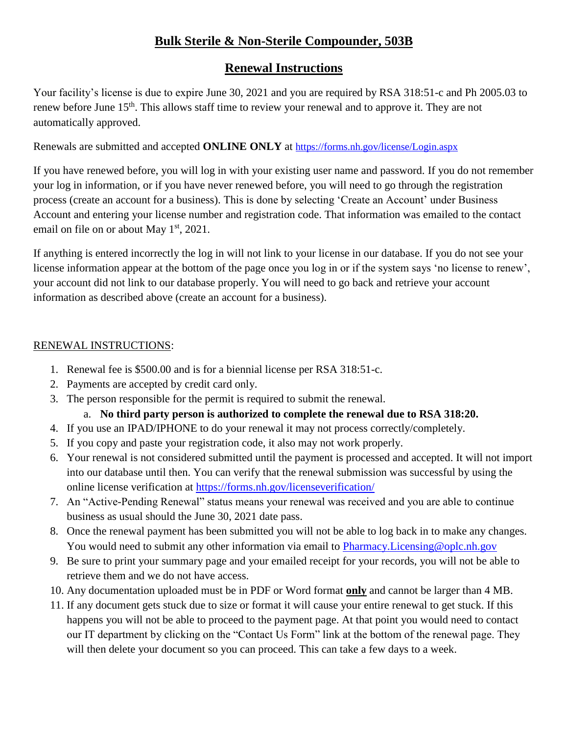# **Bulk Sterile & Non-Sterile Compounder, 503B**

## **Renewal Instructions**

Your facility's license is due to expire June 30, 2021 and you are required by RSA 318:51-c and Ph 2005.03 to renew before June 15<sup>th</sup>. This allows staff time to review your renewal and to approve it. They are not automatically approved.

Renewals are submitted and accepted **ONLINE ONLY** at <https://forms.nh.gov/license/Login.aspx>

If you have renewed before, you will log in with your existing user name and password. If you do not remember your log in information, or if you have never renewed before, you will need to go through the registration process (create an account for a business). This is done by selecting 'Create an Account' under Business Account and entering your license number and registration code. That information was emailed to the contact email on file on or about May  $1<sup>st</sup>$ , 2021.

If anything is entered incorrectly the log in will not link to your license in our database. If you do not see your license information appear at the bottom of the page once you log in or if the system says 'no license to renew', your account did not link to our database properly. You will need to go back and retrieve your account information as described above (create an account for a business).

### RENEWAL INSTRUCTIONS:

- 1. Renewal fee is \$500.00 and is for a biennial license per RSA 318:51-c.
- 2. Payments are accepted by credit card only.
- 3. The person responsible for the permit is required to submit the renewal.
	- a. **No third party person is authorized to complete the renewal due to RSA 318:20.**
- 4. If you use an IPAD/IPHONE to do your renewal it may not process correctly/completely.
- 5. If you copy and paste your registration code, it also may not work properly.
- 6. Your renewal is not considered submitted until the payment is processed and accepted. It will not import into our database until then. You can verify that the renewal submission was successful by using the online license verification at<https://forms.nh.gov/licenseverification/>
- 7. An "Active-Pending Renewal" status means your renewal was received and you are able to continue business as usual should the June 30, 2021 date pass.
- 8. Once the renewal payment has been submitted you will not be able to log back in to make any changes. You would need to submit any other information via email to **Pharmacy.**Licensing@oplc.nh.gov
- 9. Be sure to print your summary page and your emailed receipt for your records, you will not be able to retrieve them and we do not have access.
- 10. Any documentation uploaded must be in PDF or Word format **only** and cannot be larger than 4 MB.
- 11. If any document gets stuck due to size or format it will cause your entire renewal to get stuck. If this happens you will not be able to proceed to the payment page. At that point you would need to contact our IT department by clicking on the "Contact Us Form" link at the bottom of the renewal page. They will then delete your document so you can proceed. This can take a few days to a week.